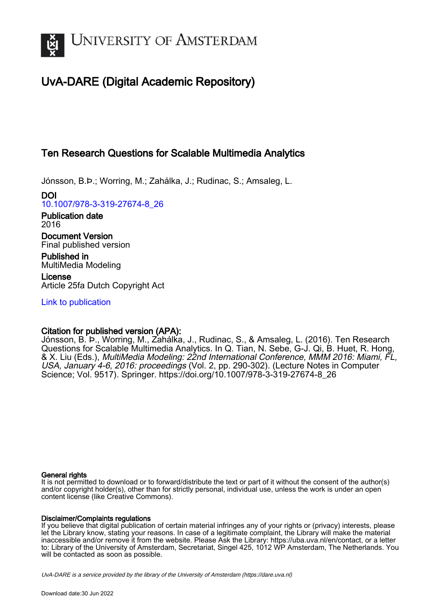

# UvA-DARE (Digital Academic Repository)

# Ten Research Questions for Scalable Multimedia Analytics

Jónsson, B.Þ.; Worring, M.; Zahálka, J.; Rudinac, S.; Amsaleg, L.

DOI [10.1007/978-3-319-27674-8\\_26](https://doi.org/10.1007/978-3-319-27674-8_26)

Publication date 2016

Document Version Final published version

Published in MultiMedia Modeling

License Article 25fa Dutch Copyright Act

[Link to publication](https://dare.uva.nl/personal/pure/en/publications/ten-research-questions-for-scalable-multimedia-analytics(c6cdcd96-ee6c-4f5c-888c-537741cb5b84).html)

# Citation for published version (APA):

Jónsson, B. Þ., Worring, M., Zahálka, J., Rudinac, S., & Amsaleg, L. (2016). Ten Research Questions for Scalable Multimedia Analytics. In Q. Tian, N. Sebe, G-J. Qi, B. Huet, R. Hong, & X. Liu (Eds.), *MultiMedia Modeling: 22nd International Conference, MMM 2016: Miami, FL,* USA, January 4-6, 2016: proceedings (Vol. 2, pp. 290-302). (Lecture Notes in Computer Science; Vol. 9517). Springer. [https://doi.org/10.1007/978-3-319-27674-8\\_26](https://doi.org/10.1007/978-3-319-27674-8_26)

## General rights

It is not permitted to download or to forward/distribute the text or part of it without the consent of the author(s) and/or copyright holder(s), other than for strictly personal, individual use, unless the work is under an open content license (like Creative Commons).

## Disclaimer/Complaints regulations

If you believe that digital publication of certain material infringes any of your rights or (privacy) interests, please let the Library know, stating your reasons. In case of a legitimate complaint, the Library will make the material inaccessible and/or remove it from the website. Please Ask the Library: https://uba.uva.nl/en/contact, or a letter to: Library of the University of Amsterdam, Secretariat, Singel 425, 1012 WP Amsterdam, The Netherlands. You will be contacted as soon as possible.

UvA-DARE is a service provided by the library of the University of Amsterdam (http*s*://dare.uva.nl)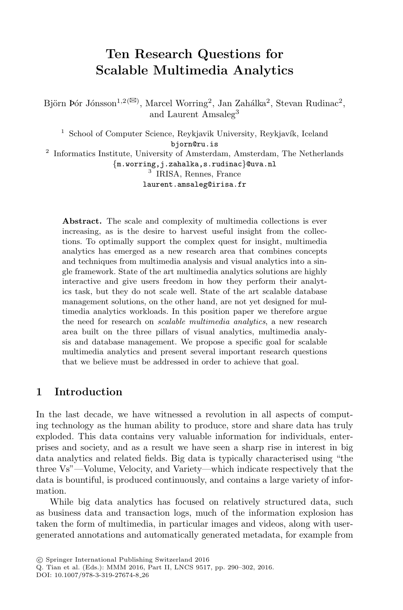# **Ten Research Questions for Scalable Multimedia Analytics**

Björn Þór Jónsson $^{1,2\,(\boxtimes)},$  Marcel Worring<sup>2</sup>, Jan Zahálka<sup>2</sup>, Stevan Rudinac<sup>2</sup>, and Laurent Amsaleg<sup>3</sup>

 $^{\rm 1}$  School of Computer Science, Reykjavik University, Reykjavík, Iceland bjorn@ru.is <sup>2</sup> Informatics Institute, University of Amsterdam, Amsterdam, The Netherlands *{*m.worring,j.zahalka,s.rudinac*}*@uva.nl <sup>3</sup> IRISA, Rennes, France laurent.amsaleg@irisa.fr

**Abstract.** The scale and complexity of multimedia collections is ever increasing, as is the desire to harvest useful insight from the collections. To optimally support the complex quest for insight, multimedia analytics has emerged as a new research area that combines concepts and techniques from multimedia analysis and visual analytics into a single framework. State of the art multimedia analytics solutions are highly interactive and give users freedom in how they perform their analytics task, but they do not scale well. State of the art scalable database management solutions, on the other hand, are not yet designed for multimedia analytics workloads. In this position paper we therefore argue the need for research on *scalable multimedia analytics*, a new research area built on the three pillars of visual analytics, multimedia analysis and database management. We propose a specific goal for scalable multimedia analytics and present several important research questions that we believe must be addressed in order to achieve that goal.

# **1 Introduction**

In the last decade, we have witnessed a revolution in all aspects of computing technology as the human ability to produce, store and share data has truly exploded. This data contains very valuable information for individuals, enterprises and society, and as a result we have seen a sharp rise in interest in big data analytics and related fields. Big data is typically characterised using "the three Vs"—Volume, Velocity, and Variety—which indicate respectively that the data is bountiful, is produced continuously, and contains a large variety of information.

While big data analytics has focused on relatively structured data, such as business data and transaction logs, much of the information explosion has taken the form of multimedia, in particular images and videos, along with usergenerated annotations and automatically generated metadata, for example from

DOI: 10.1007/978-3-319-27674-8 26

<sup>-</sup>c Springer International Publishing Switzerland 2016

Q. Tian et al. (Eds.): MMM 2016, Part II, LNCS 9517, pp. 290–302, 2016.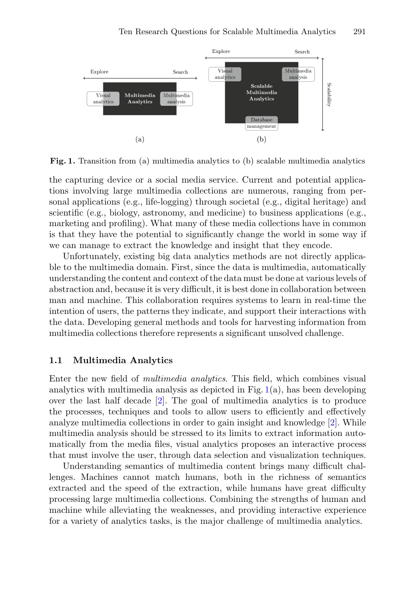

<span id="page-2-0"></span>**Fig. 1.** Transition from (a) multimedia analytics to (b) scalable multimedia analytics

the capturing device or a social media service. Current and potential applications involving large multimedia collections are numerous, ranging from personal applications (e.g., life-logging) through societal (e.g., digital heritage) and scientific (e.g., biology, astronomy, and medicine) to business applications (e.g., marketing and profiling). What many of these media collections have in common is that they have the potential to significantly change the world in some way if we can manage to extract the knowledge and insight that they encode.

Unfortunately, existing big data analytics methods are not directly applicable to the multimedia domain. First, since the data is multimedia, automatically understanding the content and context of the data must be done at various levels of abstraction and, because it is very difficult, it is best done in collaboration between man and machine. This collaboration requires systems to learn in real-time the intention of users, the patterns they indicate, and support their interactions with the data. Developing general methods and tools for harvesting information from multimedia collections therefore represents a significant unsolved challenge.

#### **1.1 Multimedia Analytics**

Enter the new field of *multimedia analytics*. This field, which combines visual analytics with multimedia analysis as depicted in Fig.  $1(a)$  $1(a)$ , has been developing over the last half decade [\[2](#page-12-0)]. The goal of multimedia analytics is to produce the processes, techniques and tools to allow users to efficiently and effectively analyze multimedia collections in order to gain insight and knowledge [\[2](#page-12-0)]. While multimedia analysis should be stressed to its limits to extract information automatically from the media files, visual analytics proposes an interactive process that must involve the user, through data selection and visualization techniques.

Understanding semantics of multimedia content brings many difficult challenges. Machines cannot match humans, both in the richness of semantics extracted and the speed of the extraction, while humans have great difficulty processing large multimedia collections. Combining the strengths of human and machine while alleviating the weaknesses, and providing interactive experience for a variety of analytics tasks, is the major challenge of multimedia analytics.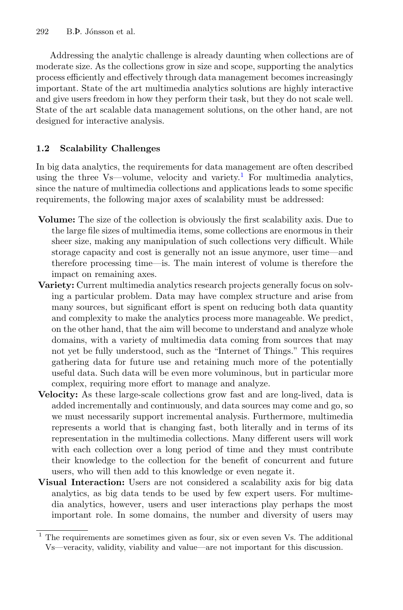Addressing the analytic challenge is already daunting when collections are of moderate size. As the collections grow in size and scope, supporting the analytics process efficiently and effectively through data management becomes increasingly important. State of the art multimedia analytics solutions are highly interactive and give users freedom in how they perform their task, but they do not scale well. State of the art scalable data management solutions, on the other hand, are not designed for interactive analysis.

# <span id="page-3-1"></span>**1.2 Scalability Challenges**

In big data analytics, the requirements for data management are often described using the three Vs—volume, velocity and variety.<sup>[1](#page-3-0)</sup> For multimedia analytics, since the nature of multimedia collections and applications leads to some specific requirements, the following major axes of scalability must be addressed:

- **Volume:** The size of the collection is obviously the first scalability axis. Due to the large file sizes of multimedia items, some collections are enormous in their sheer size, making any manipulation of such collections very difficult. While storage capacity and cost is generally not an issue anymore, user time—and therefore processing time—is. The main interest of volume is therefore the impact on remaining axes.
- **Variety:** Current multimedia analytics research projects generally focus on solving a particular problem. Data may have complex structure and arise from many sources, but significant effort is spent on reducing both data quantity and complexity to make the analytics process more manageable. We predict, on the other hand, that the aim will become to understand and analyze whole domains, with a variety of multimedia data coming from sources that may not yet be fully understood, such as the "Internet of Things." This requires gathering data for future use and retaining much more of the potentially useful data. Such data will be even more voluminous, but in particular more complex, requiring more effort to manage and analyze.
- **Velocity:** As these large-scale collections grow fast and are long-lived, data is added incrementally and continuously, and data sources may come and go, so we must necessarily support incremental analysis. Furthermore, multimedia represents a world that is changing fast, both literally and in terms of its representation in the multimedia collections. Many different users will work with each collection over a long period of time and they must contribute their knowledge to the collection for the benefit of concurrent and future users, who will then add to this knowledge or even negate it.
- **Visual Interaction:** Users are not considered a scalability axis for big data analytics, as big data tends to be used by few expert users. For multimedia analytics, however, users and user interactions play perhaps the most important role. In some domains, the number and diversity of users may

<span id="page-3-0"></span> $<sup>1</sup>$  The requirements are sometimes given as four, six or even seven Vs. The additional</sup> Vs—veracity, validity, viability and value—are not important for this discussion.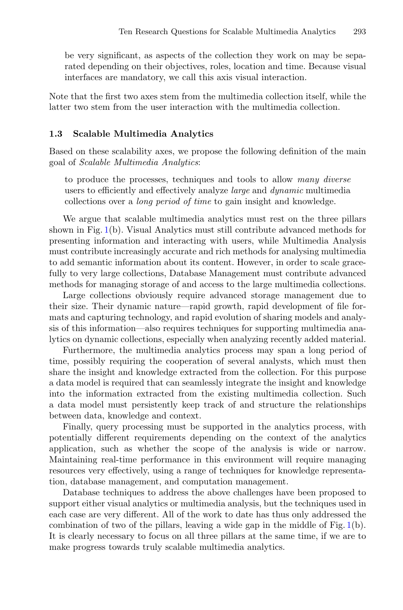be very significant, as aspects of the collection they work on may be separated depending on their objectives, roles, location and time. Because visual interfaces are mandatory, we call this axis visual interaction.

Note that the first two axes stem from the multimedia collection itself, while the latter two stem from the user interaction with the multimedia collection.

#### **1.3 Scalable Multimedia Analytics**

Based on these scalability axes, we propose the following definition of the main goal of *Scalable Multimedia Analytics*:

to produce the processes, techniques and tools to allow *many diverse* users to efficiently and effectively analyze *large* and *dynamic* multimedia collections over a *long period of time* to gain insight and knowledge.

We argue that scalable multimedia analytics must rest on the three pillars shown in Fig. [1\(](#page-2-0)b). Visual Analytics must still contribute advanced methods for presenting information and interacting with users, while Multimedia Analysis must contribute increasingly accurate and rich methods for analysing multimedia to add semantic information about its content. However, in order to scale gracefully to very large collections, Database Management must contribute advanced methods for managing storage of and access to the large multimedia collections.

Large collections obviously require advanced storage management due to their size. Their dynamic nature—rapid growth, rapid development of file formats and capturing technology, and rapid evolution of sharing models and analysis of this information—also requires techniques for supporting multimedia analytics on dynamic collections, especially when analyzing recently added material.

Furthermore, the multimedia analytics process may span a long period of time, possibly requiring the cooperation of several analysts, which must then share the insight and knowledge extracted from the collection. For this purpose a data model is required that can seamlessly integrate the insight and knowledge into the information extracted from the existing multimedia collection. Such a data model must persistently keep track of and structure the relationships between data, knowledge and context.

Finally, query processing must be supported in the analytics process, with potentially different requirements depending on the context of the analytics application, such as whether the scope of the analysis is wide or narrow. Maintaining real-time performance in this environment will require managing resources very effectively, using a range of techniques for knowledge representation, database management, and computation management.

Database techniques to address the above challenges have been proposed to support either visual analytics or multimedia analysis, but the techniques used in each case are very different. All of the work to date has thus only addressed the combination of two of the pillars, leaving a wide gap in the middle of Fig.  $1(b)$  $1(b)$ . It is clearly necessary to focus on all three pillars at the same time, if we are to make progress towards truly scalable multimedia analytics.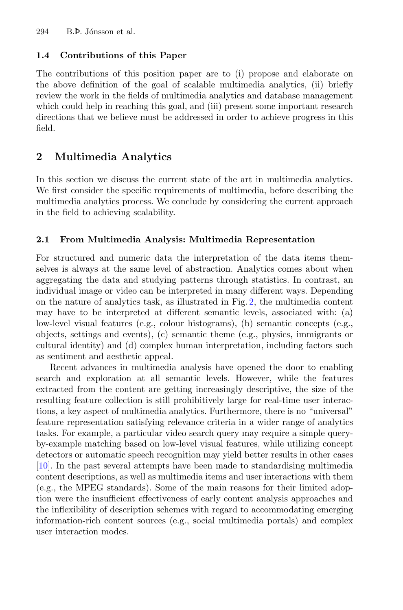# **1.4 Contributions of this Paper**

The contributions of this position paper are to (i) propose and elaborate on the above definition of the goal of scalable multimedia analytics, (ii) briefly review the work in the fields of multimedia analytics and database management which could help in reaching this goal, and (iii) present some important research directions that we believe must be addressed in order to achieve progress in this field.

# **2 Multimedia Analytics**

In this section we discuss the current state of the art in multimedia analytics. We first consider the specific requirements of multimedia, before describing the multimedia analytics process. We conclude by considering the current approach in the field to achieving scalability.

# <span id="page-5-0"></span>**2.1 From Multimedia Analysis: Multimedia Representation**

For structured and numeric data the interpretation of the data items themselves is always at the same level of abstraction. Analytics comes about when aggregating the data and studying patterns through statistics. In contrast, an individual image or video can be interpreted in many different ways. Depending on the nature of analytics task, as illustrated in Fig. [2,](#page-6-0) the multimedia content may have to be interpreted at different semantic levels, associated with: (a) low-level visual features (e.g., colour histograms), (b) semantic concepts (e.g., objects, settings and events), (c) semantic theme (e.g., physics, immigrants or cultural identity) and (d) complex human interpretation, including factors such as sentiment and aesthetic appeal.

Recent advances in multimedia analysis have opened the door to enabling search and exploration at all semantic levels. However, while the features extracted from the content are getting increasingly descriptive, the size of the resulting feature collection is still prohibitively large for real-time user interactions, a key aspect of multimedia analytics. Furthermore, there is no "universal" feature representation satisfying relevance criteria in a wider range of analytics tasks. For example, a particular video search query may require a simple queryby-example matching based on low-level visual features, while utilizing concept detectors or automatic speech recognition may yield better results in other cases [\[10](#page-13-0)]. In the past several attempts have been made to standardising multimedia content descriptions, as well as multimedia items and user interactions with them (e.g., the MPEG standards). Some of the main reasons for their limited adoption were the insufficient effectiveness of early content analysis approaches and the inflexibility of description schemes with regard to accommodating emerging information-rich content sources (e.g., social multimedia portals) and complex user interaction modes.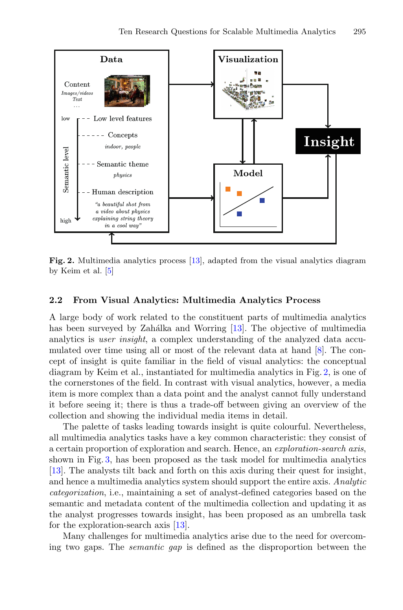

<span id="page-6-0"></span>**Fig. 2.** Multimedia analytics process [\[13](#page-13-1)], adapted from the visual analytics diagram by Keim et al. [\[5\]](#page-12-1)

#### <span id="page-6-1"></span>**2.2 From Visual Analytics: Multimedia Analytics Process**

A large body of work related to the constituent parts of multimedia analytics has been surveyed by Zahálka and Worring [\[13\]](#page-13-1). The objective of multimedia analytics is *user insight*, a complex understanding of the analyzed data accumulated over time using all or most of the relevant data at hand [\[8](#page-12-2)]. The concept of insight is quite familiar in the field of visual analytics: the conceptual diagram by Keim et al., instantiated for multimedia analytics in Fig. [2,](#page-6-0) is one of the cornerstones of the field. In contrast with visual analytics, however, a media item is more complex than a data point and the analyst cannot fully understand it before seeing it; there is thus a trade-off between giving an overview of the collection and showing the individual media items in detail.

The palette of tasks leading towards insight is quite colourful. Nevertheless, all multimedia analytics tasks have a key common characteristic: they consist of a certain proportion of exploration and search. Hence, an *exploration-search axis*, shown in Fig. [3,](#page-7-0) has been proposed as the task model for multimedia analytics [\[13](#page-13-1)]. The analysts tilt back and forth on this axis during their quest for insight, and hence a multimedia analytics system should support the entire axis. *Analytic categorization*, i.e., maintaining a set of analyst-defined categories based on the semantic and metadata content of the multimedia collection and updating it as the analyst progresses towards insight, has been proposed as an umbrella task for the exploration-search axis [\[13\]](#page-13-1).

Many challenges for multimedia analytics arise due to the need for overcoming two gaps. The *semantic gap* is defined as the disproportion between the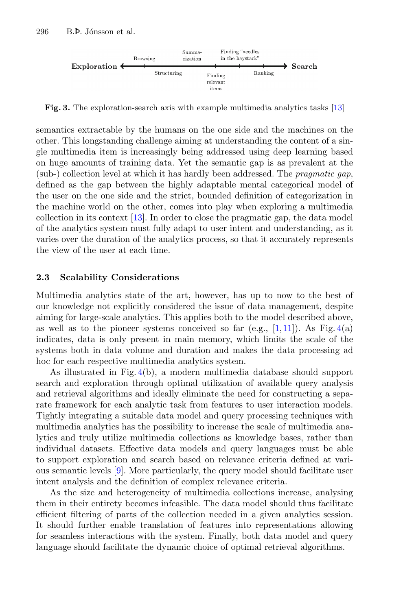

<span id="page-7-0"></span>**Fig. 3.** The exploration-search axis with example multimedia analytics tasks [\[13](#page-13-1)]

semantics extractable by the humans on the one side and the machines on the other. This longstanding challenge aiming at understanding the content of a single multimedia item is increasingly being addressed using deep learning based on huge amounts of training data. Yet the semantic gap is as prevalent at the (sub-) collection level at which it has hardly been addressed. The *pragmatic gap*, defined as the gap between the highly adaptable mental categorical model of the user on the one side and the strict, bounded definition of categorization in the machine world on the other, comes into play when exploring a multimedia collection in its context [\[13](#page-13-1)]. In order to close the pragmatic gap, the data model of the analytics system must fully adapt to user intent and understanding, as it varies over the duration of the analytics process, so that it accurately represents the view of the user at each time.

#### **2.3 Scalability Considerations**

Multimedia analytics state of the art, however, has up to now to the best of our knowledge not explicitly considered the issue of data management, despite aiming for large-scale analytics. This applies both to the model described above, as well as to the pioneer systems conceived so far (e.g.,  $[1,11]$  $[1,11]$ ). As Fig. [4\(](#page-8-0)a) indicates, data is only present in main memory, which limits the scale of the systems both in data volume and duration and makes the data processing ad hoc for each respective multimedia analytics system.

As illustrated in Fig. [4\(](#page-8-0)b), a modern multimedia database should support search and exploration through optimal utilization of available query analysis and retrieval algorithms and ideally eliminate the need for constructing a separate framework for each analytic task from features to user interaction models. Tightly integrating a suitable data model and query processing techniques with multimedia analytics has the possibility to increase the scale of multimedia analytics and truly utilize multimedia collections as knowledge bases, rather than individual datasets. Effective data models and query languages must be able to support exploration and search based on relevance criteria defined at various semantic levels [\[9\]](#page-12-4). More particularly, the query model should facilitate user intent analysis and the definition of complex relevance criteria.

As the size and heterogeneity of multimedia collections increase, analysing them in their entirety becomes infeasible. The data model should thus facilitate efficient filtering of parts of the collection needed in a given analytics session. It should further enable translation of features into representations allowing for seamless interactions with the system. Finally, both data model and query language should facilitate the dynamic choice of optimal retrieval algorithms.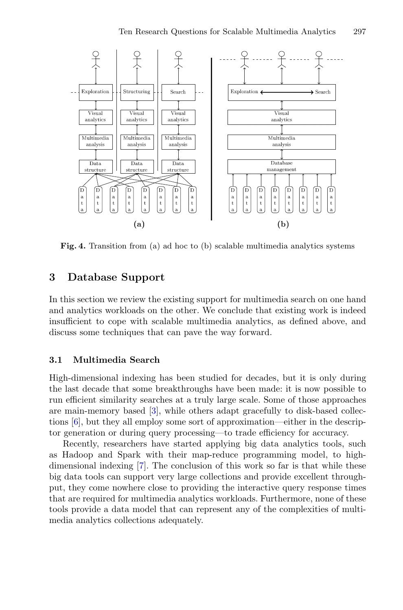

<span id="page-8-0"></span>**Fig. 4.** Transition from (a) ad hoc to (b) scalable multimedia analytics systems

## **3 Database Support**

In this section we review the existing support for multimedia search on one hand and analytics workloads on the other. We conclude that existing work is indeed insufficient to cope with scalable multimedia analytics, as defined above, and discuss some techniques that can pave the way forward.

#### **3.1 Multimedia Search**

High-dimensional indexing has been studied for decades, but it is only during the last decade that some breakthroughs have been made: it is now possible to run efficient similarity searches at a truly large scale. Some of those approaches are main-memory based [\[3](#page-12-5)], while others adapt gracefully to disk-based collections [\[6](#page-12-6)], but they all employ some sort of approximation—either in the descriptor generation or during query processing—to trade efficiency for accuracy.

Recently, researchers have started applying big data analytics tools, such as Hadoop and Spark with their map-reduce programming model, to highdimensional indexing [\[7\]](#page-12-7). The conclusion of this work so far is that while these big data tools can support very large collections and provide excellent throughput, they come nowhere close to providing the interactive query response times that are required for multimedia analytics workloads. Furthermore, none of these tools provide a data model that can represent any of the complexities of multimedia analytics collections adequately.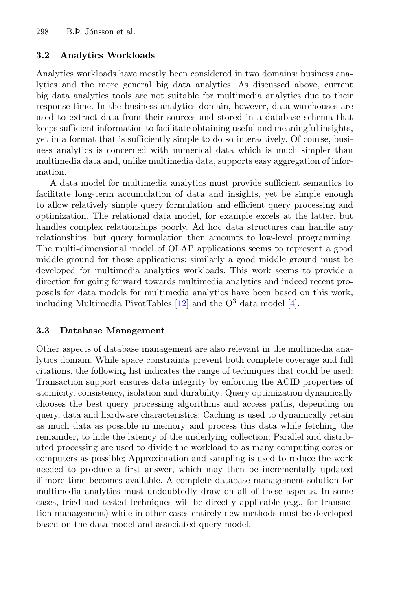### **3.2 Analytics Workloads**

Analytics workloads have mostly been considered in two domains: business analytics and the more general big data analytics. As discussed above, current big data analytics tools are not suitable for multimedia analytics due to their response time. In the business analytics domain, however, data warehouses are used to extract data from their sources and stored in a database schema that keeps sufficient information to facilitate obtaining useful and meaningful insights, yet in a format that is sufficiently simple to do so interactively. Of course, business analytics is concerned with numerical data which is much simpler than multimedia data and, unlike multimedia data, supports easy aggregation of information.

A data model for multimedia analytics must provide sufficient semantics to facilitate long-term accumulation of data and insights, yet be simple enough to allow relatively simple query formulation and efficient query processing and optimization. The relational data model, for example excels at the latter, but handles complex relationships poorly. Ad hoc data structures can handle any relationships, but query formulation then amounts to low-level programming. The multi-dimensional model of OLAP applications seems to represent a good middle ground for those applications; similarly a good middle ground must be developed for multimedia analytics workloads. This work seems to provide a direction for going forward towards multimedia analytics and indeed recent proposals for data models for multimedia analytics have been based on this work, including Multimedia PivotTables  $[12]$  $[12]$  and the  $O<sup>3</sup>$  data model  $[4]$ .

#### **3.3 Database Management**

Other aspects of database management are also relevant in the multimedia analytics domain. While space constraints prevent both complete coverage and full citations, the following list indicates the range of techniques that could be used: Transaction support ensures data integrity by enforcing the ACID properties of atomicity, consistency, isolation and durability; Query optimization dynamically chooses the best query processing algorithms and access paths, depending on query, data and hardware characteristics; Caching is used to dynamically retain as much data as possible in memory and process this data while fetching the remainder, to hide the latency of the underlying collection; Parallel and distributed processing are used to divide the workload to as many computing cores or computers as possible; Approximation and sampling is used to reduce the work needed to produce a first answer, which may then be incrementally updated if more time becomes available. A complete database management solution for multimedia analytics must undoubtedly draw on all of these aspects. In some cases, tried and tested techniques will be directly applicable (e.g., for transaction management) while in other cases entirely new methods must be developed based on the data model and associated query model.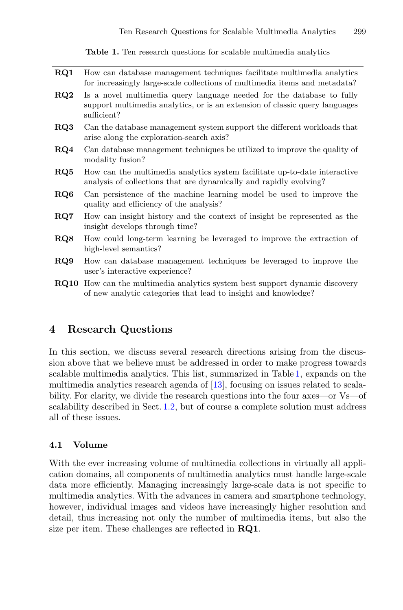**Table 1.** Ten research questions for scalable multimedia analytics

<span id="page-10-0"></span>

| RQ1          | How can database management techniques facilitate multimedia analytics<br>for increasingly large-scale collections of multimedia items and metadata?                |
|--------------|---------------------------------------------------------------------------------------------------------------------------------------------------------------------|
| RQ2          | Is a novel multimedia query language needed for the database to fully<br>support multimedia analytics, or is an extension of classic query languages<br>sufficient? |
| $_{\rm RQ3}$ | Can the database management system support the different workloads that<br>arise along the exploration-search axis?                                                 |
| $\rm RQ4$    | Can database management techniques be utilized to improve the quality of<br>modality fusion?                                                                        |
| $_{\rm RQ5}$ | How can the multimedia analytics system facilitate up-to-date interactive<br>analysis of collections that are dynamically and rapidly evolving?                     |
| RQ6          | Can persistence of the machine learning model be used to improve the<br>quality and efficiency of the analysis?                                                     |
| $\rm RQ7$    | How can insight history and the context of insight be represented as the<br>insight develops through time?                                                          |
| RQ8          | How could long-term learning be leveraged to improve the extraction of<br>high-level semantics?                                                                     |
| RQ9          | How can database management techniques be leveraged to improve the<br>user's interactive experience?                                                                |
| $\bf RQ10$   | How can the multimedia analytics system best support dynamic discovery<br>of new analytic categories that lead to insight and knowledge?                            |

## **4 Research Questions**

In this section, we discuss several research directions arising from the discussion above that we believe must be addressed in order to make progress towards scalable multimedia analytics. This list, summarized in Table [1,](#page-10-0) expands on the multimedia analytics research agenda of [\[13](#page-13-1)], focusing on issues related to scalability. For clarity, we divide the research questions into the four axes—or Vs—of scalability described in Sect. [1.2,](#page-3-1) but of course a complete solution must address all of these issues.

#### **4.1 Volume**

With the ever increasing volume of multimedia collections in virtually all application domains, all components of multimedia analytics must handle large-scale data more efficiently. Managing increasingly large-scale data is not specific to multimedia analytics. With the advances in camera and smartphone technology, however, individual images and videos have increasingly higher resolution and detail, thus increasing not only the number of multimedia items, but also the size per item. These challenges are reflected in **RQ1**.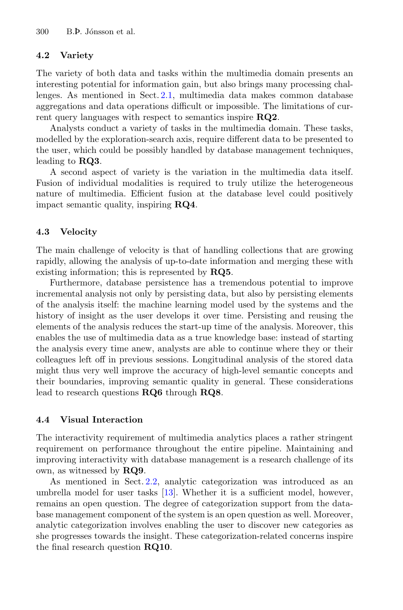### **4.2 Variety**

The variety of both data and tasks within the multimedia domain presents an interesting potential for information gain, but also brings many processing challenges. As mentioned in Sect. [2.1,](#page-5-0) multimedia data makes common database aggregations and data operations difficult or impossible. The limitations of current query languages with respect to semantics inspire **RQ2**.

Analysts conduct a variety of tasks in the multimedia domain. These tasks, modelled by the exploration-search axis, require different data to be presented to the user, which could be possibly handled by database management techniques, leading to **RQ3**.

A second aspect of variety is the variation in the multimedia data itself. Fusion of individual modalities is required to truly utilize the heterogeneous nature of multimedia. Efficient fusion at the database level could positively impact semantic quality, inspiring **RQ4**.

#### **4.3 Velocity**

The main challenge of velocity is that of handling collections that are growing rapidly, allowing the analysis of up-to-date information and merging these with existing information; this is represented by **RQ5**.

Furthermore, database persistence has a tremendous potential to improve incremental analysis not only by persisting data, but also by persisting elements of the analysis itself: the machine learning model used by the systems and the history of insight as the user develops it over time. Persisting and reusing the elements of the analysis reduces the start-up time of the analysis. Moreover, this enables the use of multimedia data as a true knowledge base: instead of starting the analysis every time anew, analysts are able to continue where they or their colleagues left off in previous sessions. Longitudinal analysis of the stored data might thus very well improve the accuracy of high-level semantic concepts and their boundaries, improving semantic quality in general. These considerations lead to research questions **RQ6** through **RQ8**.

#### **4.4 Visual Interaction**

The interactivity requirement of multimedia analytics places a rather stringent requirement on performance throughout the entire pipeline. Maintaining and improving interactivity with database management is a research challenge of its own, as witnessed by **RQ9**.

As mentioned in Sect. [2.2,](#page-6-1) analytic categorization was introduced as an umbrella model for user tasks [\[13\]](#page-13-1). Whether it is a sufficient model, however, remains an open question. The degree of categorization support from the database management component of the system is an open question as well. Moreover, analytic categorization involves enabling the user to discover new categories as she progresses towards the insight. These categorization-related concerns inspire the final research question **RQ10**.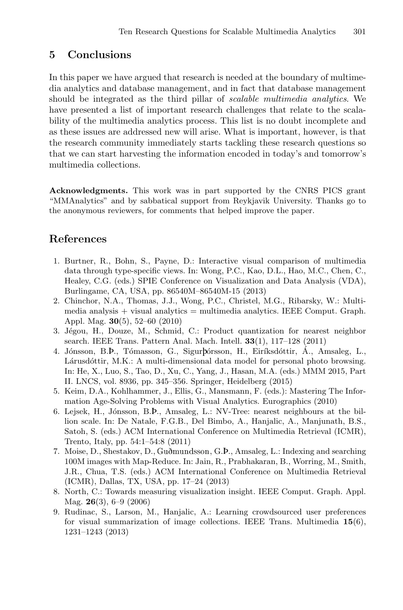# **5 Conclusions**

In this paper we have argued that research is needed at the boundary of multimedia analytics and database management, and in fact that database management should be integrated as the third pillar of *scalable multimedia analytics*. We have presented a list of important research challenges that relate to the scalability of the multimedia analytics process. This list is no doubt incomplete and as these issues are addressed new will arise. What is important, however, is that the research community immediately starts tackling these research questions so that we can start harvesting the information encoded in today's and tomorrow's multimedia collections.

**Acknowledgments.** This work was in part supported by the CNRS PICS grant "MMAnalytics" and by sabbatical support from Reykjavik University. Thanks go to the anonymous reviewers, for comments that helped improve the paper.

# <span id="page-12-3"></span>**References**

- 1. Burtner, R., Bohn, S., Payne, D.: Interactive visual comparison of multimedia data through type-specific views. In: Wong, P.C., Kao, D.L., Hao, M.C., Chen, C., Healey, C.G. (eds.) SPIE Conference on Visualization and Data Analysis (VDA), Burlingame, CA, USA, pp. 86540M–86540M-15 (2013)
- <span id="page-12-0"></span>2. Chinchor, N.A., Thomas, J.J., Wong, P.C., Christel, M.G., Ribarsky, W.: Multi $media$  analysis  $+$  visual analytics  $=$  multimedia analytics. IEEE Comput. Graph. Appl. Mag. **30**(5), 52–60 (2010)
- <span id="page-12-5"></span>3. Jégou, H., Douze, M., Schmid, C.: Product quantization for nearest neighbor search. IEEE Trans. Pattern Anal. Mach. Intell. **33**(1), 117–128 (2011)
- <span id="page-12-8"></span>4. Jónsson, B.Þ., Tómasson, G., Sigurþórsson, H., Eiríksdóttir, Á., Amsaleg, L., Lárusdóttir, M.K.: A multi-dimensional data model for personal photo browsing. In: He, X., Luo, S., Tao, D., Xu, C., Yang, J., Hasan, M.A. (eds.) MMM 2015, Part II. LNCS, vol. 8936, pp. 345–356. Springer, Heidelberg (2015)
- <span id="page-12-1"></span>5. Keim, D.A., Kohlhammer, J., Ellis, G., Mansmann, F. (eds.): Mastering The Information Age-Solving Problems with Visual Analytics. Eurographics (2010)
- <span id="page-12-6"></span>6. Lejsek, H., Jónsson, B.Þ., Amsaleg, L.: NV-Tree: nearest neighbours at the billion scale. In: De Natale, F.G.B., Del Bimbo, A., Hanjalic, A., Manjunath, B.S., Satoh, S. (eds.) ACM International Conference on Multimedia Retrieval (ICMR), Trento, Italy, pp. 54:1–54:8 (2011)
- <span id="page-12-7"></span>7. Moise, D., Shestakov, D., Guðmundsson, G.Þ., Amsaleg, L.: Indexing and searching 100M images with Map-Reduce. In: Jain, R., Prabhakaran, B., Worring, M., Smith, J.R., Chua, T.S. (eds.) ACM International Conference on Multimedia Retrieval (ICMR), Dallas, TX, USA, pp. 17–24 (2013)
- <span id="page-12-2"></span>8. North, C.: Towards measuring visualization insight. IEEE Comput. Graph. Appl. Mag. **26**(3), 6–9 (2006)
- <span id="page-12-4"></span>9. Rudinac, S., Larson, M., Hanjalic, A.: Learning crowdsourced user preferences for visual summarization of image collections. IEEE Trans. Multimedia **15**(6), 1231–1243 (2013)